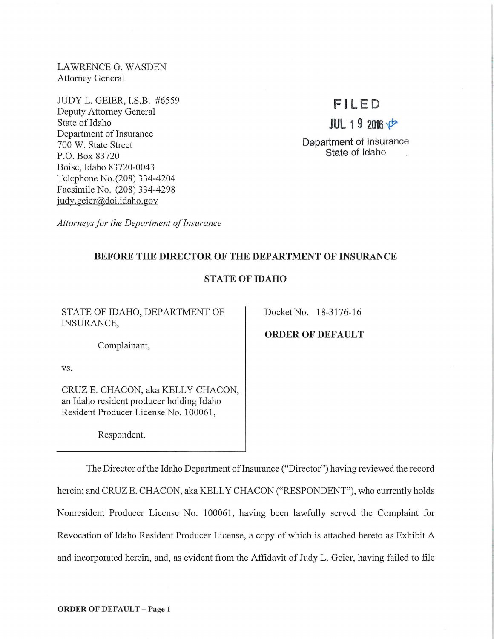LAWRENCE G. WASDEN Attorney General

JUDY L. GEIER, I.S.B. #6559 Deputy Attorney General State of Idaho Department of Insurance 700 W. State Street P.O. Box 83720 Boise, Idaho 83720-0043 Telephone No.(208) 334-4204 Facsimile No. (208) 334-4298 judy.geier@doi.idaho.gov

# **F l LED**

**JUL 19** <sup>20</sup> ~

Department of Insurance State of Idaho

*Attorneys for the Department of Insurance* 

## BEFORE THE DIRECTOR OF THE DEPARTMENT OF INSURANCE

## STATE OF IDAHO

STATE OF IDAHO, DEPARTMENT OF INSURANCE,

Docket No. 18-3176-16

ORDER OF DEFAULT

Complainant,

vs.

CRUZE. CHACON, aka KELLY CHACON, an Idaho resident producer holding Idaho Resident Producer License No. 100061 ,

Respondent.

The Director of the Idaho Department of Insurance ("Director") having reviewed the record herein; and CRUZE. CHACON, aka KELLY CHACON ("RESPONDENT"), who currently holds Nomesident Producer License No. 100061, having been lawfully served the Complaint for Revocation of Idaho Resident Producer License, a copy of which is attached hereto as Exhibit A and incorporated herein, and, as evident from the Affidavit of Judy L. Geier, having failed to file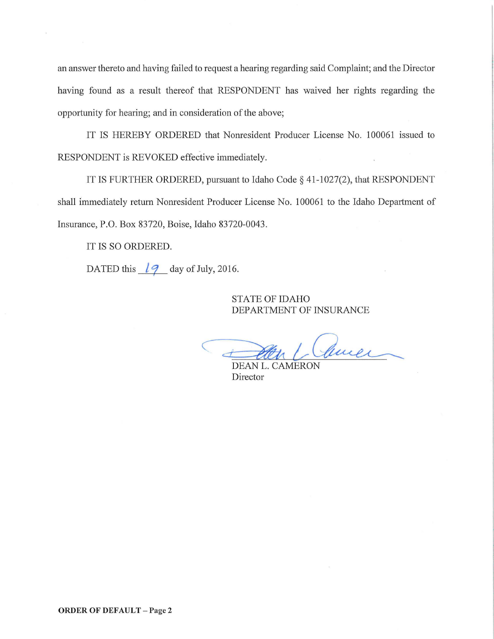an answer thereto and having failed to request a hearing regarding said Complaint; and the Director having found as a result thereof that RESPONDENT has waived her rights regarding the opportunity for hearing; and in consideration of the above;

IT IS HEREBY ORDERED that Nomesident Producer License No. 100061 issued to RESPONDENT is REVOKED effective immediately.

IT IS FURTHER ORDERED, pursuant to Idaho Code§ 41-1027(2), that RESPONDENT shall immediately return Nonresident Producer License No. 100061 to the Idaho Department of Insurance, P.O. Box 83720, Boise, Idaho 83720-0043.

IT IS SO ORDERED.

DATED this  $\frac{1}{9}$  day of July, 2016.

## STATE OF IDAHO DEPARTMENT OF INSURANCE

*c-* <sup>d</sup> 2004 Cluel

DEAN L. CAMERON Director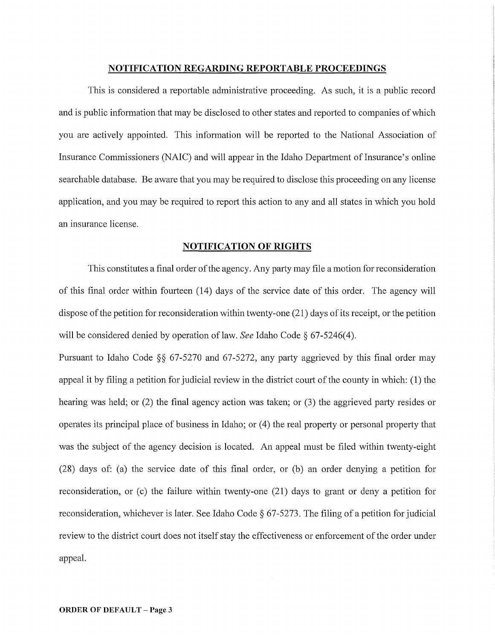### **NOTIFICATION REGARDING REPORTABLE PROCEEDINGS**

This is considered a reportable administrative proceeding. As such, it is a public record and is public information that may be disclosed to other states and reported to companies of which you are actively appointed. This information will be reported to the National Association of Insurance Commissioners (NAIC) and will appear in the Idaho Department of Insurance's online searchable database. Be aware that you may be required to disclose this proceeding on any license application, and you may be required to report this action to any and all states in which you hold an insurance license.

## **NOTIFICATION OF RIGHTS**

This constitutes a final order of the agency. Any party may file a motion for reconsideration of this final order within fomieen (14) days of the service date of this order. The agency will dispose of the petition for reconsideration within twenty-one (21) days of its receipt, or the petition will be considered denied by operation of law. *See* Idaho Code§ 67-5246(4).

Pursuant to Idaho Code §§ 67-5270 and 67-5272, any party aggrieved by this final order may appeal it by filing a petition for judicial review in the district court of the county in which: (1) the hearing was held; or  $(2)$  the final agency action was taken; or  $(3)$  the aggrieved party resides or operates its principal place of business in Idaho; or (4) the real property or personal property that was the subject of the agency decision is located. An appeal must be filed within twenty-eight (28) days of: (a) the service date of this final order, or (b) an order denying a petition for reconsideration, or (c) the failure within twenty-one (21) days to grant or deny a petition for reconsideration, whichever is later. See Idaho Code§ 67-5273. The filing of a petition for judicial review to the district court does not itself stay the effectiveness or enforcement of the order under appeal.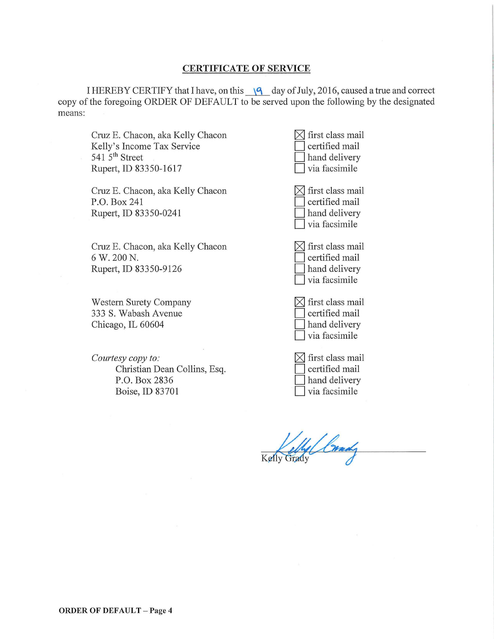## **CERTIFICATE OF SERVICE**

I HEREBY CERTIFY that I have, on this  $\sqrt{9}$  day of July, 2016, caused a true and correct copy of the foregoing ORDER OF DEFAULT to be served upon the following by the designated means:

Cruz E. Chacon, aka Kelly Chacon Kelly's Income Tax Service 541  $5<sup>th</sup>$  Street Rupert, ID 83350-1617

Cruz E. Chacon, aka Kelly Chacon P.O. Box 241 Rupert, ID 83350-0241

Cruz E. Chacon, aka Kelly Chacon 6 W. 200N. Rupert, ID 83350-9126

Western Surety Company 333 S. Wabash Avenue Chicago, IL 60604

*Courtesy copy to:*  Christian Dean Collins, Esq. P.O. Box 2836 Boise, ID 83701

| first class mail<br>certified mail<br>hand delivery<br>via facsimile |
|----------------------------------------------------------------------|
| first class mail<br>certified mail<br>hand delivery<br>via facsimile |
| first class mail<br>certified mail<br>hand delivery<br>via facsimile |
| first class mail<br>certified mail<br>hand delivery<br>via facsimile |
| first class mail<br>certified mail<br>hand delivery                  |

Crady

 $\Box$  via facsimile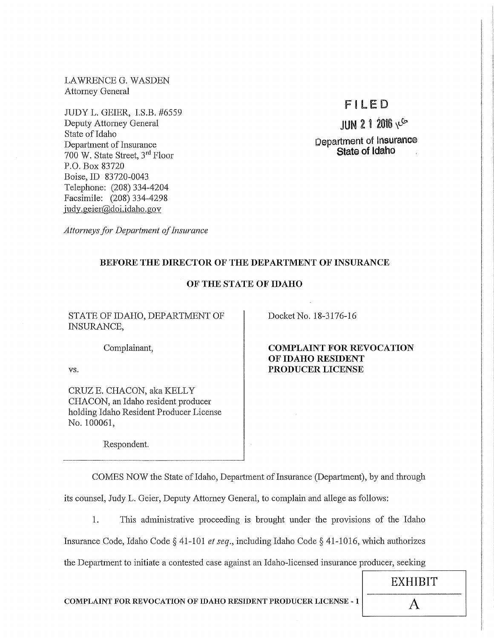LAWRENCE G. WASDEN Attorney General

JUDY L. GEIER, I.S.B. #6559 Deputy Attorney General State of Idaho Department of Insurance 700 W. State Street, 3rd Floor P.O. Box 83720 Boise, ID 83720-0043 Telephone: (208) 334-4204 Facsimile: (208) 334-4298 judy. geier@doi.idaho.gov

# Fl LED

 $JUN$  2 1 2016  $V$ Department of Insurance State of Idaho

*Attorneys for Department of Insurance* 

## BEFORE THE DIRECTOR OF THE DEPARTMENT OF INSURANCE

## OF THE STATE OF IDAHO

STATE OF IDAHO, DEPARTMENT OF INSURANCE,

Docket No. 18-3176-16

Complainant,

vs.

CRUZE. CHACON, aka KELLY CHACON, an Idaho resident producer holding Idaho Resident Producer License No. 100061,

Respondent.

COMPLAINT FOR REVOCATION OF IDAHO RESIDENT PRODUCER LICENSE

COMES NOW the State of Idaho, Department of Insurance (Department), by and through

its counsel, Judy L. Geier, Deputy Attorney General, to complain and allege as follows:

1. This administrative proceeding is brought under the provisions of the Idaho Insurance Code, Idaho Code§ 41-101 *et seq.,* including Idaho Code§ 41-1016, which authorizes the Department to initiate a contested case against an Idaho-licensed insurance producer, seeking

 $\overline{\phantom{a}}$ COMPLAINT FOR REVOCATION OF IDAHO RESIDENT PRODUCER LICENSE - 1  $\vert$   $\vert$ 

EXHIBIT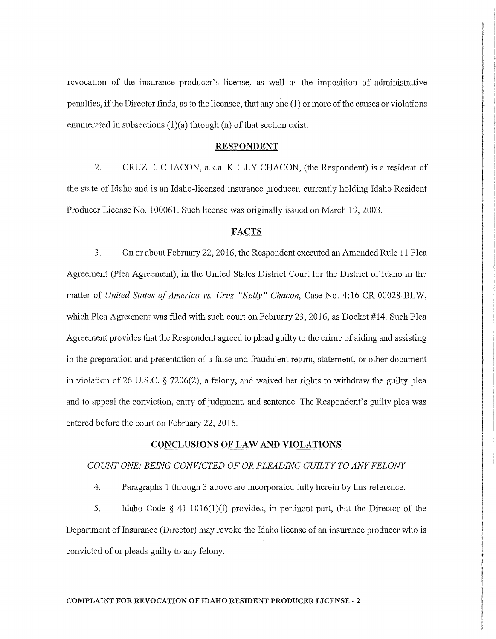revocation of the insurance producer's license, as well as the imposition of administrative penalties, if the Director finds, as to the licensee, that any one (1) or more of the causes or violations enumerated in subsections  $(1)(a)$  through  $(n)$  of that section exist.

#### RESPONDENT

2. CRUZ E. CHACON, a.k.a. KELLY CHACON, (the Respondent) is a resident of the state of Idaho and is an Idaho-licensed insurance producer, cunently holding Idaho Resident Producer License No. 100061. Such license was originally issued on March 19, 2003.

#### FACTS

3. On or about Febrnary 22, 2016, the Respondent executed an Amended Rule 11 Plea Agreement (Plea Agreement), in the United States District Court for the District of Idaho in the matter of *United States of America vs. Cruz "Kelly" Chacon*, Case No. 4:16-CR-00028-BLW, which Plea Agreement was filed with such court on February 23, 2016, as Docket #14. Such Plea Agreement provides that the Respondent agreed to plead guilty to the crime of aiding and assisting in the preparation and presentation of a false and fraudulent return, statement, or other document in violation of 26 U.S.C. § 7206(2), a felony, and waived her rights to withdraw the guilty plea and to appeal the conviction, entry of judgment, and sentence. The Respondent's guilty plea was entered before the court on February 22, 2016.

#### CONCLUSIONS OF LAW AND VIOLATIONS

## *COUNT ONE: BEING CONVICTED OF OR PLEADING GUILTY TO ANY FELONY*

4. Paragraphs 1 through 3 above are incorporated fully herein by this reference.

5. Idaho Code  $\S$  41-1016(1)(f) provides, in pertinent part, that the Director of the Department of Insurance (Director) may revoke the Idaho license of an insurance producer who is convicted of or pleads guilty to any felony.

#### COMPLAINT FOR REVOCATION OF IDAHO RESIDENT PRODUCER LICENSE - 2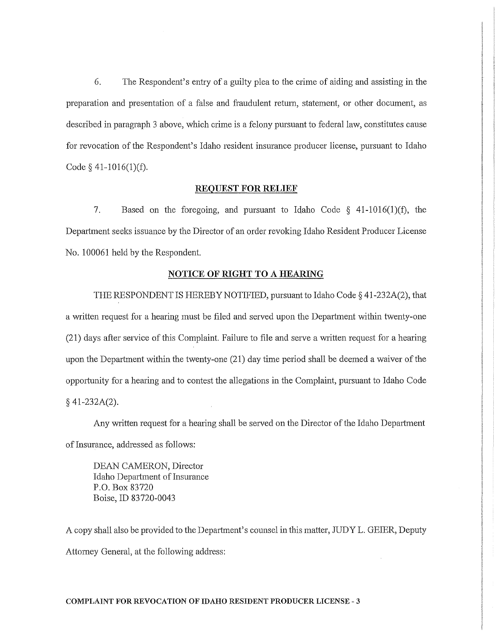6. The Respondent's entry of a guilty plea to the crime of aiding and assisting **in** the preparation and presentation of a false and fraudulent return, statement, or other document, as described in paragraph 3 above, which crime is a felony pursuant to federal law, constitutes cause for revocation of the Respondent's Idaho resident insurance producer license, pursuant to Idaho Code  $§$  41-1016(1)(f).

#### **REQUEST FOR RELIEF**

7. Based on the foregoing, and pursuant to Idaho Code  $\S$  41-1016(1)(f), the Department seeks issuance by the Director of an order revoking Idaho Resident Producer License No. 100061 held by the Respondent.

#### **NOTICE OF RIGHT TO A HEARING**

THE RESPONDENT IS HEREBY NOTIFIED, pursuant to Idaho Code § 41-232A(2), that a written request for a hearing must be filed and served upon the Department within twenty-one (21) days after service of this Complaint. Failure to file and serve a written request for a heat'ing upon the Department within the twenty-one (21) day time period shall be deemed a waiver of the opportunity for a hearing and to contest the allegations in the Complaint, pursuant to Idaho Code § 41-232A(2).

Any written request for a hearing shall be served on the Director of the Idaho Department of Insurance, addressed as follows:

DEAN CAMERON, Director Idaho Department of Insurance P.O. Box 83720 Boise, ID 83720-0043

A copy shall also be provided to the Depmiment's counsel **in** this matter, JUDY L. GEIER, Deputy Attorney General, at the following address: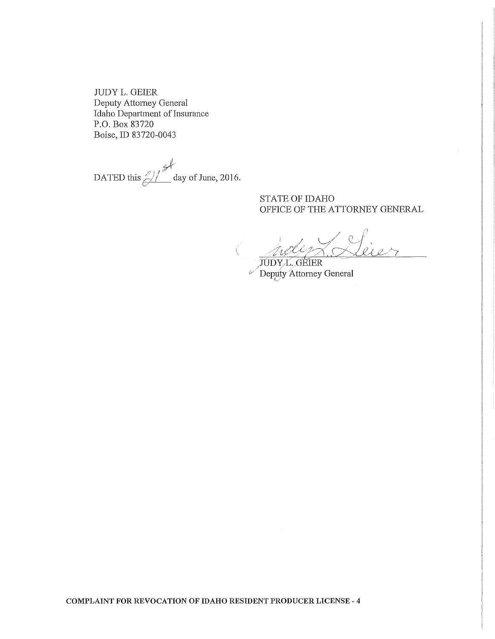JUDY L. GEIER Deputy Attorney General Idaho Department of Insurance P.O. Box 83720 Boise, ID 83720-0043

DATED this  $\frac{2}{\sqrt{2}}$  day of June, 2016.

## STATE OF IDAHO OFFICE OF THE ATTORNEY GENERAL

JUDY*L*, GEIER *v* Deputy Attorney General

**COMPLAINT FOR REVOCATION OF IDAHO RESIDENT PRODUCER LICENSE - 4**